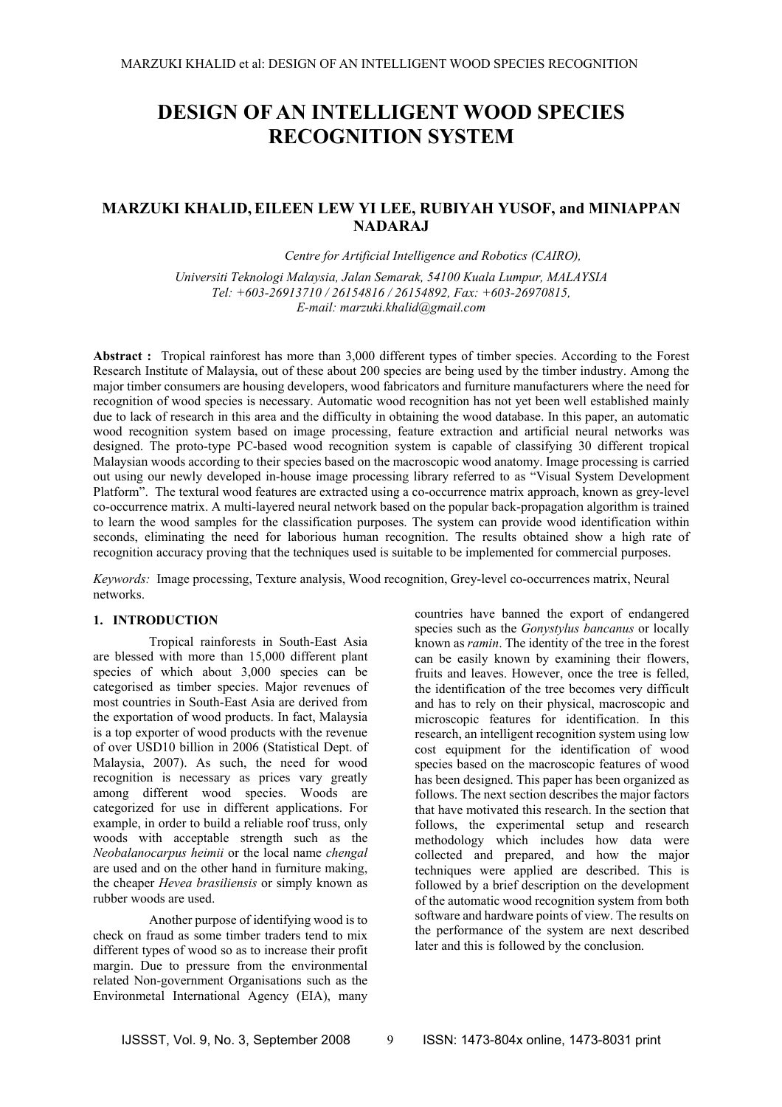# **DESIGN OF AN INTELLIGENT WOOD SPECIES RECOGNITION SYSTEM**

## **MARZUKI KHALID, EILEEN LEW YI LEE, RUBIYAH YUSOF, and MINIAPPAN NADARAJ**

*Centre for Artificial Intelligence and Robotics (CAIRO), Universiti Teknologi Malaysia, Jalan Semarak, 54100 Kuala Lumpur, MALAYSIA Tel: +603-26913710 / 26154816 / 26154892, Fax: +603-26970815, E-mail: marzuki.khalid@gmail.com* 

**Abstract :** Tropical rainforest has more than 3,000 different types of timber species. According to the Forest Research Institute of Malaysia, out of these about 200 species are being used by the timber industry. Among the major timber consumers are housing developers, wood fabricators and furniture manufacturers where the need for recognition of wood species is necessary. Automatic wood recognition has not yet been well established mainly due to lack of research in this area and the difficulty in obtaining the wood database. In this paper, an automatic wood recognition system based on image processing, feature extraction and artificial neural networks was designed. The proto-type PC-based wood recognition system is capable of classifying 30 different tropical Malaysian woods according to their species based on the macroscopic wood anatomy. Image processing is carried out using our newly developed in-house image processing library referred to as "Visual System Development Platform". The textural wood features are extracted using a co-occurrence matrix approach, known as grey-level co-occurrence matrix. A multi-layered neural network based on the popular back-propagation algorithm is trained to learn the wood samples for the classification purposes. The system can provide wood identification within seconds, eliminating the need for laborious human recognition. The results obtained show a high rate of recognition accuracy proving that the techniques used is suitable to be implemented for commercial purposes.

*Keywords:* Image processing, Texture analysis, Wood recognition, Grey-level co-occurrences matrix, Neural networks.

#### **1. INTRODUCTION**

Tropical rainforests in South-East Asia are blessed with more than 15,000 different plant species of which about 3,000 species can be categorised as timber species. Major revenues of most countries in South-East Asia are derived from the exportation of wood products. In fact, Malaysia is a top exporter of wood products with the revenue of over USD10 billion in 2006 (Statistical Dept. of Malaysia, 2007). As such, the need for wood recognition is necessary as prices vary greatly among different wood species. Woods are categorized for use in different applications. For example, in order to build a reliable roof truss, only woods with acceptable strength such as the *Neobalanocarpus heimii* or the local name *chengal* are used and on the other hand in furniture making, the cheaper *Hevea brasiliensis* or simply known as rubber woods are used.

Another purpose of identifying wood is to check on fraud as some timber traders tend to mix different types of wood so as to increase their profit margin. Due to pressure from the environmental related Non-government Organisations such as the Environmetal International Agency (EIA), many countries have banned the export of endangered species such as the *Gonystylus bancanus* or locally known as *ramin*. The identity of the tree in the forest can be easily known by examining their flowers, fruits and leaves. However, once the tree is felled, the identification of the tree becomes very difficult and has to rely on their physical, macroscopic and microscopic features for identification. In this research, an intelligent recognition system using low cost equipment for the identification of wood species based on the macroscopic features of wood has been designed. This paper has been organized as follows. The next section describes the major factors that have motivated this research. In the section that follows, the experimental setup and research methodology which includes how data were collected and prepared, and how the major techniques were applied are described. This is followed by a brief description on the development of the automatic wood recognition system from both software and hardware points of view. The results on the performance of the system are next described later and this is followed by the conclusion.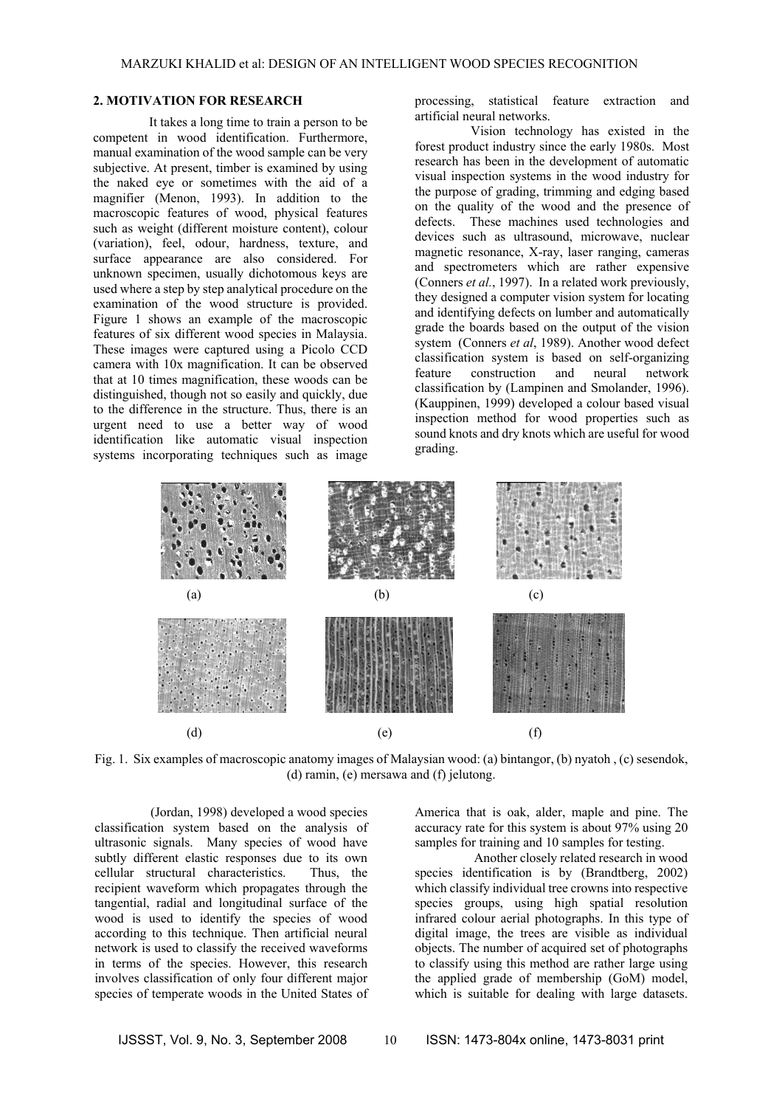#### **2. MOTIVATION FOR RESEARCH**

It takes a long time to train a person to be competent in wood identification. Furthermore, manual examination of the wood sample can be very subjective. At present, timber is examined by using the naked eye or sometimes with the aid of a magnifier (Menon, 1993). In addition to the macroscopic features of wood, physical features such as weight (different moisture content), colour (variation), feel, odour, hardness, texture, and surface appearance are also considered. For unknown specimen, usually dichotomous keys are used where a step by step analytical procedure on the examination of the wood structure is provided. Figure 1 shows an example of the macroscopic features of six different wood species in Malaysia. These images were captured using a Picolo CCD camera with 10x magnification. It can be observed that at 10 times magnification, these woods can be distinguished, though not so easily and quickly, due to the difference in the structure. Thus, there is an urgent need to use a better way of wood identification like automatic visual inspection systems incorporating techniques such as image

processing, statistical feature extraction and artificial neural networks.

Vision technology has existed in the forest product industry since the early 1980s. Most research has been in the development of automatic visual inspection systems in the wood industry for the purpose of grading, trimming and edging based on the quality of the wood and the presence of defects. These machines used technologies and devices such as ultrasound, microwave, nuclear magnetic resonance, X-ray, laser ranging, cameras and spectrometers which are rather expensive (Conners *et al.*, 1997). In a related work previously, they designed a computer vision system for locating and identifying defects on lumber and automatically grade the boards based on the output of the vision system (Conners *et al*, 1989). Another wood defect classification system is based on self-organizing feature construction and neural network classification by (Lampinen and Smolander, 1996). (Kauppinen, 1999) developed a colour based visual inspection method for wood properties such as sound knots and dry knots which are useful for wood grading.



Fig. 1. Six examples of macroscopic anatomy images of Malaysian wood: (a) bintangor, (b) nyatoh , (c) sesendok, (d) ramin, (e) mersawa and (f) jelutong.

(Jordan, 1998) developed a wood species classification system based on the analysis of ultrasonic signals. Many species of wood have subtly different elastic responses due to its own cellular structural characteristics. Thus, the recipient waveform which propagates through the tangential, radial and longitudinal surface of the wood is used to identify the species of wood according to this technique. Then artificial neural network is used to classify the received waveforms in terms of the species. However, this research involves classification of only four different major species of temperate woods in the United States of America that is oak, alder, maple and pine. The accuracy rate for this system is about 97% using 20 samples for training and 10 samples for testing.

 Another closely related research in wood species identification is by (Brandtberg, 2002) which classify individual tree crowns into respective species groups, using high spatial resolution infrared colour aerial photographs. In this type of digital image, the trees are visible as individual objects. The number of acquired set of photographs to classify using this method are rather large using the applied grade of membership (GoM) model, which is suitable for dealing with large datasets.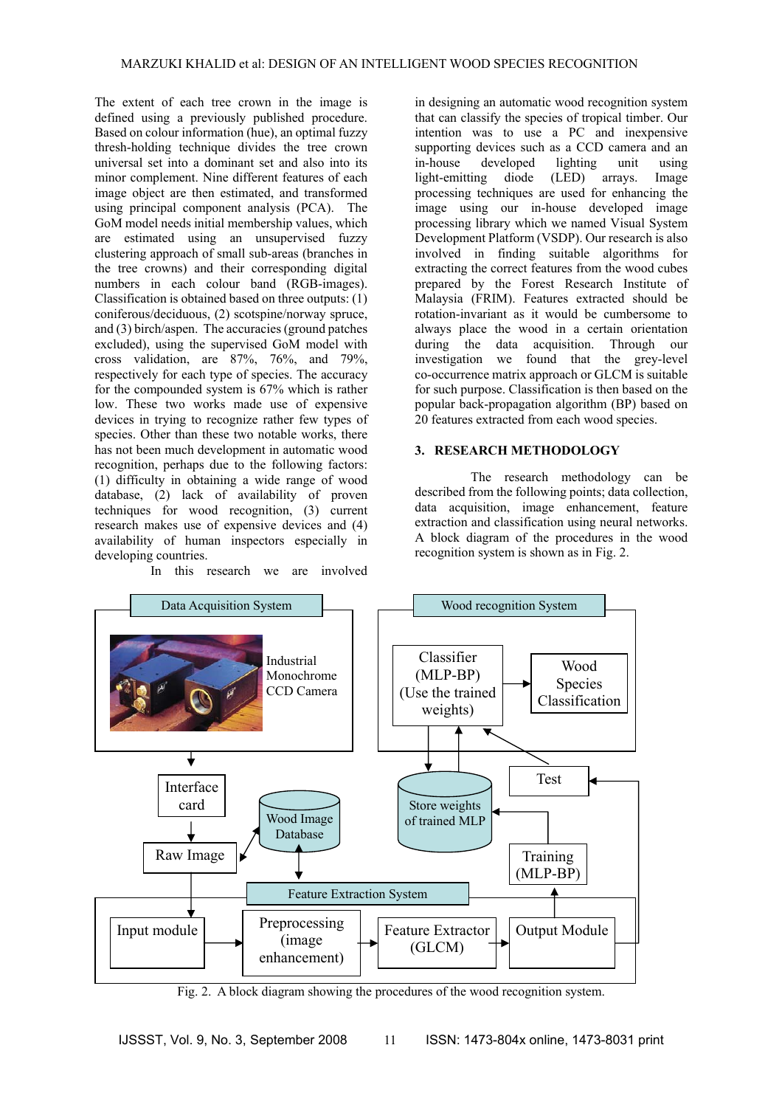The extent of each tree crown in the image is defined using a previously published procedure. Based on colour information (hue), an optimal fuzzy thresh-holding technique divides the tree crown universal set into a dominant set and also into its minor complement. Nine different features of each image object are then estimated, and transformed using principal component analysis (PCA). The GoM model needs initial membership values, which are estimated using an unsupervised fuzzy clustering approach of small sub-areas (branches in the tree crowns) and their corresponding digital numbers in each colour band (RGB-images). Classification is obtained based on three outputs: (1) coniferous/deciduous, (2) scotspine/norway spruce, and (3) birch/aspen. The accuracies (ground patches excluded), using the supervised GoM model with cross validation, are 87%, 76%, and 79%, respectively for each type of species. The accuracy for the compounded system is 67% which is rather low. These two works made use of expensive devices in trying to recognize rather few types of species. Other than these two notable works, there has not been much development in automatic wood recognition, perhaps due to the following factors: (1) difficulty in obtaining a wide range of wood database, (2) lack of availability of proven techniques for wood recognition, (3) current research makes use of expensive devices and (4) availability of human inspectors especially in developing countries.

In this research we are involved

in designing an automatic wood recognition system that can classify the species of tropical timber. Our intention was to use a PC and inexpensive supporting devices such as a CCD camera and an in-house developed lighting unit using light-emitting diode (LED) arrays. Image processing techniques are used for enhancing the image using our in-house developed image processing library which we named Visual System Development Platform (VSDP). Our research is also involved in finding suitable algorithms for extracting the correct features from the wood cubes prepared by the Forest Research Institute of Malaysia (FRIM). Features extracted should be rotation-invariant as it would be cumbersome to always place the wood in a certain orientation during the data acquisition. Through our investigation we found that the grey-level co-occurrence matrix approach or GLCM is suitable for such purpose. Classification is then based on the popular back-propagation algorithm (BP) based on 20 features extracted from each wood species.

## **3. RESEARCH METHODOLOGY**

 The research methodology can be described from the following points; data collection, data acquisition, image enhancement, feature extraction and classification using neural networks. A block diagram of the procedures in the wood recognition system is shown as in Fig. 2.



Fig. 2. A block diagram showing the procedures of the wood recognition system.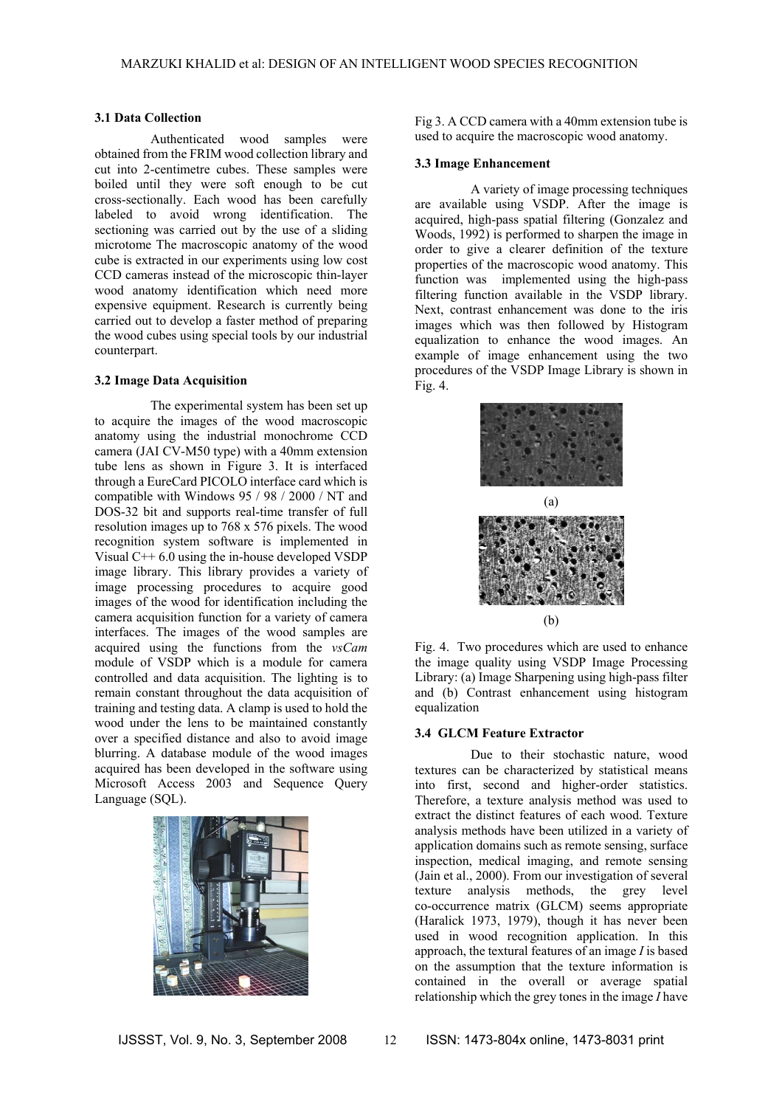#### **3.1 Data Collection**

Authenticated wood samples were obtained from the FRIM wood collection library and cut into 2-centimetre cubes. These samples were boiled until they were soft enough to be cut cross-sectionally. Each wood has been carefully labeled to avoid wrong identification. The sectioning was carried out by the use of a sliding microtome The macroscopic anatomy of the wood cube is extracted in our experiments using low cost CCD cameras instead of the microscopic thin-layer wood anatomy identification which need more expensive equipment. Research is currently being carried out to develop a faster method of preparing the wood cubes using special tools by our industrial counterpart.

#### **3.2 Image Data Acquisition**

The experimental system has been set up to acquire the images of the wood macroscopic anatomy using the industrial monochrome CCD camera (JAI CV-M50 type) with a 40mm extension tube lens as shown in Figure 3. It is interfaced through a EureCard PICOLO interface card which is compatible with Windows 95 / 98 / 2000 / NT and DOS-32 bit and supports real-time transfer of full resolution images up to 768 x 576 pixels. The wood recognition system software is implemented in Visual C++ 6.0 using the in-house developed VSDP image library. This library provides a variety of image processing procedures to acquire good images of the wood for identification including the camera acquisition function for a variety of camera interfaces. The images of the wood samples are acquired using the functions from the *vsCam* module of VSDP which is a module for camera controlled and data acquisition. The lighting is to remain constant throughout the data acquisition of training and testing data. A clamp is used to hold the wood under the lens to be maintained constantly over a specified distance and also to avoid image blurring. A database module of the wood images acquired has been developed in the software using Microsoft Access 2003 and Sequence Query Language (SQL).



Fig 3. A CCD camera with a 40mm extension tube is used to acquire the macroscopic wood anatomy.

#### **3.3 Image Enhancement**

A variety of image processing techniques are available using VSDP. After the image is acquired, high-pass spatial filtering (Gonzalez and Woods, 1992) is performed to sharpen the image in order to give a clearer definition of the texture properties of the macroscopic wood anatomy. This function was implemented using the high-pass filtering function available in the VSDP library. Next, contrast enhancement was done to the iris images which was then followed by Histogram equalization to enhance the wood images. An example of image enhancement using the two procedures of the VSDP Image Library is shown in  $Fig. 4.$ 



Fig. 4. Two procedures which are used to enhance the image quality using VSDP Image Processing Library: (a) Image Sharpening using high-pass filter and (b) Contrast enhancement using histogram equalization

#### **3.4 GLCM Feature Extractor**

Due to their stochastic nature, wood textures can be characterized by statistical means into first, second and higher-order statistics. Therefore, a texture analysis method was used to extract the distinct features of each wood. Texture analysis methods have been utilized in a variety of application domains such as remote sensing, surface inspection, medical imaging, and remote sensing (Jain et al., 2000). From our investigation of several texture analysis methods, the grey level co-occurrence matrix (GLCM) seems appropriate (Haralick 1973, 1979), though it has never been used in wood recognition application. In this approach, the textural features of an image *I* is based on the assumption that the texture information is contained in the overall or average spatial relationship which the grey tones in the image *I* have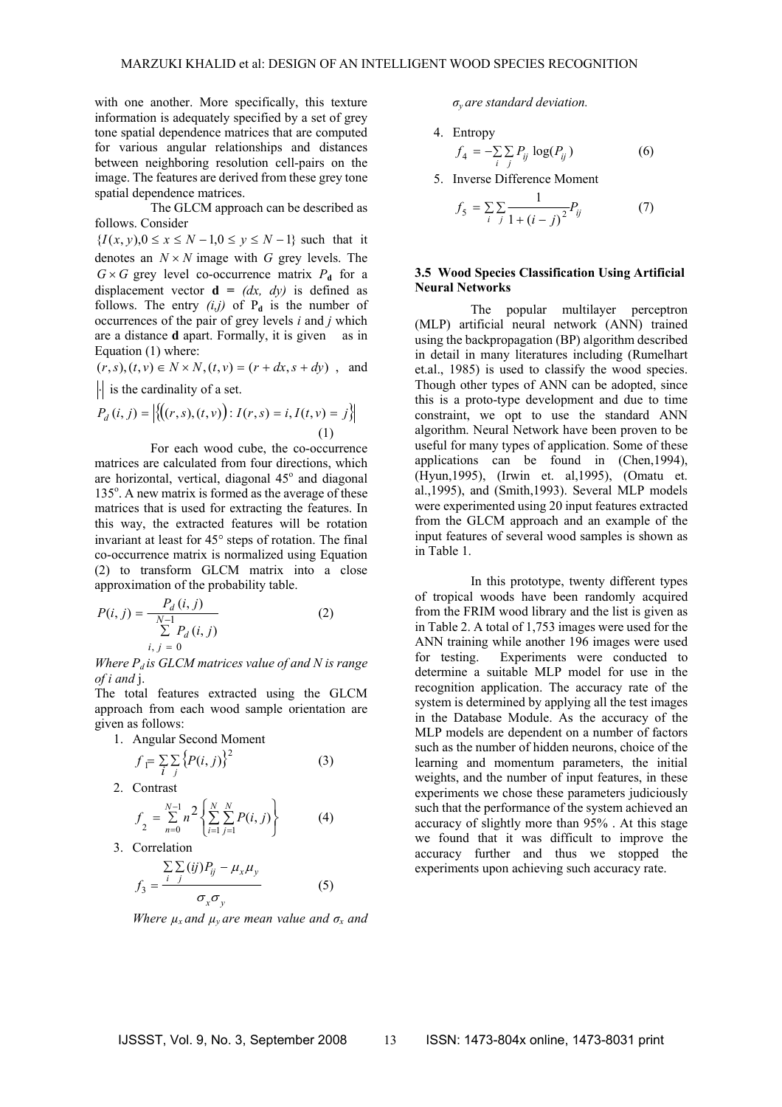with one another. More specifically, this texture information is adequately specified by a set of grey tone spatial dependence matrices that are computed for various angular relationships and distances between neighboring resolution cell-pairs on the image. The features are derived from these grey tone spatial dependence matrices.

The GLCM approach can be described as follows. Consider

 ${I(x, y), 0 \le x \le N - 1, 0 \le y \le N - 1}$  such that it denotes an  $N \times N$  image with *G* grey levels. The  $G \times G$  grey level co-occurrence matrix  $P_d$  for a displacement vector  $\mathbf{d} = (dx, dy)$  is defined as follows. The entry  $(i,j)$  of  $P_d$  is the number of occurrences of the pair of grey levels *i* and *j* which are a distance **d** apart. Formally, it is given as in Equation (1) where:

 $(r, s), (t, v) \in N \times N, (t, v) = (r + dx, s + dy)$ , and  $|\cdot|$  is the cardinality of a set.

$$
P_d(i, j) = |\{((r, s), (t, v)): I(r, s) = i, I(t, v) = j\}|
$$
\n(1)

For each wood cube, the co-occurrence matrices are calculated from four directions, which are horizontal, vertical, diagonal 45° and diagonal 135°. A new matrix is formed as the average of these matrices that is used for extracting the features. In this way, the extracted features will be rotation invariant at least for 45° steps of rotation. The final co-occurrence matrix is normalized using Equation (2) to transform GLCM matrix into a close approximation of the probability table.

$$
P(i, j) = \frac{P_d(i, j)}{\sum_{i,j=0}^{N-1} P_d(i, j)}
$$
(2)

*Where*  $P_d$  *is GLCM matrices value of and N is range of i and* j.

The total features extracted using the GLCM approach from each wood sample orientation are given as follows:

1. Angular Second Moment

$$
f_{\overline{I}} = \sum_{i} \sum_{j} \left\{ P(i,j) \right\}^2 \tag{3}
$$

2. Contrast

$$
f_2 = \sum_{n=0}^{N-1} n^2 \left\{ \sum_{i=1}^{N} \sum_{j=1}^{N} P(i, j) \right\}
$$
 (4)

3. Correlation

$$
f_3 = \frac{\sum\limits_{i} \sum\limits_{j} (ij) P_{ij} - \mu_x \mu_y}{\sigma_x \sigma_y} \tag{5}
$$

*Where*  $\mu_x$  *and*  $\mu_y$  *are mean value and*  $\sigma_x$  *and* 

*σy are standard deviation.* 

\n- 4. Entropy\n 
$$
f_4 = -\sum_{i} \sum_{j} P_{ij} \log(P_{ij})
$$
\n
\n- 5 Inverse Difference Moment
\n

$$
\frac{1}{2} \cdot \sum_{i=1}^{n} \frac{1}{i}
$$

$$
f_5 = \sum_{i} \sum_{j} \frac{1}{1 + (i - j)^2} P_{ij}
$$
 (7)

#### **3.5 Wood Species Classification Using Artificial Neural Networks**

The popular multilayer perceptron (MLP) artificial neural network (ANN) trained using the backpropagation (BP) algorithm described in detail in many literatures including (Rumelhart et.al., 1985) is used to classify the wood species. Though other types of ANN can be adopted, since this is a proto-type development and due to time constraint, we opt to use the standard ANN algorithm. Neural Network have been proven to be useful for many types of application. Some of these applications can be found in (Chen,1994), (Hyun,1995), (Irwin et. al,1995), (Omatu et. al.,1995), and (Smith,1993). Several MLP models were experimented using 20 input features extracted from the GLCM approach and an example of the input features of several wood samples is shown as in Table 1.

In this prototype, twenty different types of tropical woods have been randomly acquired from the FRIM wood library and the list is given as in Table 2. A total of 1,753 images were used for the ANN training while another 196 images were used for testing. Experiments were conducted to determine a suitable MLP model for use in the recognition application. The accuracy rate of the system is determined by applying all the test images in the Database Module. As the accuracy of the MLP models are dependent on a number of factors such as the number of hidden neurons, choice of the learning and momentum parameters, the initial weights, and the number of input features, in these experiments we chose these parameters judiciously such that the performance of the system achieved an accuracy of slightly more than 95% . At this stage we found that it was difficult to improve the accuracy further and thus we stopped the experiments upon achieving such accuracy rate.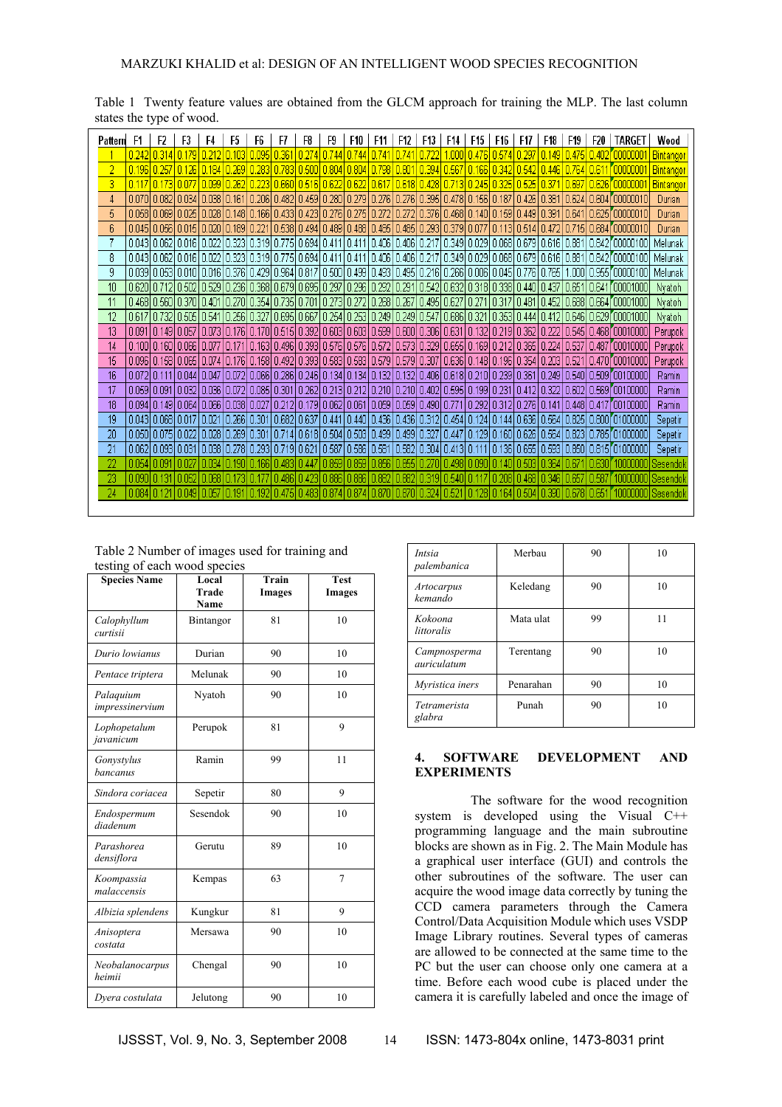| Pattern | F1     | F2                      | F3    | F4            | F5                                                                                                          | F6     | F7        | F8      | F9    | F10   | F11               | F12                                                           | F13         | F14            | F15                                 | F16         | F17   | F18          | F19   | F20    | TARGET                                                                                                                                | Wood             |
|---------|--------|-------------------------|-------|---------------|-------------------------------------------------------------------------------------------------------------|--------|-----------|---------|-------|-------|-------------------|---------------------------------------------------------------|-------------|----------------|-------------------------------------|-------------|-------|--------------|-------|--------|---------------------------------------------------------------------------------------------------------------------------------------|------------------|
|         | 0.242  | 0.314                   |       | 0.212         | 0.103                                                                                                       | 0.095  | 0.36'     | 0.274   | 0.744 | 0.744 | 0.74 <sup>4</sup> | 0.74                                                          | 0.722       | .000           | 0.476                               | 0.574       | 0.297 | 0.149        | 0.475 | 0.402  | <u>roonoon</u>                                                                                                                        | <b>Bintangor</b> |
| 2       | 0.196  | 0.257                   | 0.126 | 0.184         | 0.269                                                                                                       | 0.283  | 0.783     | 0.500   | 0.804 | 0.804 | 0.798             | $0.80^{\circ}$                                                | 0.394 0.567 |                | 0.166                               | 0.342       | 0.542 | 446          | 0.764 | 0.611  | <u>roooooo</u>                                                                                                                        | Bintangor        |
| 3       | 0.117  | 0.173                   | 0.077 | 0.099         | 0.262                                                                                                       | 0.2231 | l n gan i | 10.5161 | 0.622 | 0.622 |                   | 0.617 0.618 0.428 0.713 0.245 0.325                           |             |                |                                     |             | 0.525 | 0.371        | 0.697 | 0.626  | <u>roooooo </u>                                                                                                                       | <b>Bintangor</b> |
| 4       | 0.070  | 0.082                   |       | 0.034   0.038 | 0.161   0.206   0.482   0.459   0.280                                                                       |        |           |         |       |       | 0.279   0.276     | $0.276$ 0.395 0.478 0.156 0.187                               |             |                |                                     |             | 0.426 | 0.381        | 0.624 |        | 0.604100000010                                                                                                                        | Durian           |
| 5       |        |                         |       |               | 0.058 0.069 0.025 0.028 0.148 0.166 0.433 0.423 0.276 0.275                                                 |        |           |         |       |       |                   | 0.272   0.272   0.376   0.468   0.140   0.159   0.449   0.391 |             |                |                                     |             |       |              | 0.641 | 0.625  | r annona 10                                                                                                                           | Durian           |
| 6       |        | 0.04510.0561            |       |               | 0.015   0.020   0.189   0.221   0.538   0.494   0.489                                                       |        |           |         |       |       |                   | 0.488 0.485 0.485 0.293 0.379 0.077                           |             |                |                                     | 0.113 0.514 |       | 0.472        | 0.715 | 0.684  | 100000010                                                                                                                             | Durian           |
|         |        |                         |       |               | 0.043 0.062 0.016 0.022 0.323 0.319 0.775 0.694 0.411                                                       |        |           |         |       | 0.411 |                   |                                                               |             |                |                                     |             |       |              |       |        | 0.406   0.406   0.217   0.349   0.029   0.068   0.679   0.616   0.881   0.842   00000100                                              | Melunak          |
| 8       |        |                         |       |               | 0.043 0.062 0.016 0.022 0.323 0.319 0.775 0.694 0.411                                                       |        |           |         |       | 0.411 |                   |                                                               |             |                |                                     |             |       |              |       |        | 0.406   0.406   0.217   0.349   0.029   0.068   0.679   0.616   0.881   0.842   00000100                                              | Melunak          |
| 9       |        |                         |       |               | 0.039 0.053 0.010 0.016 0.376 0.429 0.964 0.817 0.500                                                       |        |           |         |       |       |                   | 0.499 0.493 0.495 0.216 0.266 0.006 0.045 0.776 0.765         |             |                |                                     |             |       |              | .000  |        | 10.955100000100                                                                                                                       | Melunak          |
| 10      | 0.620  |                         |       |               | 0.712 0.502 0.529 0.236 0.368 0.679 0.695 0.297                                                             |        |           |         |       | 0.296 | 0.292   0.291     |                                                               |             |                | 0.542 0.632 0.318 0.338 0.440 0.437 |             |       |              | 0.651 | 10.641 | 00001000                                                                                                                              | Nyatoh           |
| 11      |        | 0.468 0.560 0.370 0.401 |       |               | 0.270   0.354   0.735   0.701                                                                               |        |           |         | 0.273 | 0.272 | 0.268             | 0.267                                                         | 0.495 0.627 |                | 0.271                               | 0.317       | 0.481 | 0.452        |       |        | 0.688  0.664  00001000                                                                                                                | <b>Nyatoh</b>    |
| 12      | 0.617  |                         |       |               | 0.732  0.505  0.541  0.256  0.327  0.695  0.667  0.254  0.253  0.249  0.249  0.547  0.686  0.321            |        |           |         |       |       |                   |                                                               |             |                |                                     |             |       |              |       |        | 0.353  0.444  0.412  0.646  0.629  00001000                                                                                           | Nyatoh           |
| 13      |        |                         |       |               | 0.091 0.149 0.057 0.073 0.176 0.170 0.515 0.392 0.603 0.603 0.609 0.600 0.306 0.631 0.132 0.219 0.362 0.222 |        |           |         |       |       |                   |                                                               |             |                |                                     |             |       |              |       |        | 0.545  0.468  00010000                                                                                                                | Perupok          |
| 14      |        |                         |       |               |                                                                                                             |        |           |         |       |       |                   |                                                               |             |                |                                     |             |       |              |       |        | 0.100 0.160 0.066 0.077 0.171 0.163 0.496 0.393 0.576 0.576 0.577 0.577 0.573 0.329 0.655 0.169 0.212 0.365 0.224 0.537 0.487 0001000 | Perupok          |
| 15      |        |                         |       |               | 0.096 0.158 0.065 0.074 0.176 0.158 0.492 0.393 0.583 0.583 0.579 0.579 0.307 0.636 0.148 0.196 0.354       |        |           |         |       |       |                   |                                                               |             |                |                                     |             |       | 0.203  0.521 |       |        | 0.470 00010000                                                                                                                        | Perupok          |
| 16      |        |                         |       |               |                                                                                                             |        |           |         |       |       |                   |                                                               |             |                |                                     |             |       |              |       |        | 0.07210.11110.04410.04710.07210.06610.26610.24610.13410.13410.13210.13210.40610.61810.21010.23910.36110.24910.54010.509100100000      | Ramin            |
| 17      |        |                         |       |               | 0.059 0.091 0.032 0.036 0.072 0.085 0.301 0.262 0.213 0.212 0.210 0.210 0.402 0.595 0.199 0.231             |        |           |         |       |       |                   |                                                               |             |                |                                     |             |       |              |       |        | 10.41210.32210.60210.569100100000                                                                                                     | Ramin            |
| 18      |        |                         |       |               |                                                                                                             |        |           |         |       |       |                   |                                                               |             |                |                                     |             |       |              |       |        | 0.09410.14910.06410.06610.03810.02710.21210.17910.06210.06110.05910.05910.49010.77110.29210.31210.27610.14110.44810.417700100000      | Ramin            |
| 19      |        | 0.043 0.068 0.017 0.021 |       |               | I   0.266   0.301   0.682   0.637                                                                           |        |           |         | 0.441 |       |                   |                                                               |             |                |                                     |             |       |              |       |        | 0.440 0.436 0.436 0.312 0.454 0.124 0.144 0.636 0.564 0.825 0.800 01000000                                                            | Sepetir          |
| 20      |        |                         |       |               |                                                                                                             |        |           |         |       |       |                   |                                                               |             |                |                                     |             |       |              |       |        | 0.050 0.075 0.022 0.028 0.269 0.301 0.714 0.618 0.504 0.503 0.499 0.499 0.327 0.447 0.129 0.160 0.626 0.564 0.823 0.785 01000000      | Sepetir          |
|         |        |                         |       |               | 0.062 0.093 0.031 0.038 0.278 0.293 0.719 0.621                                                             |        |           |         | 0.587 | 0.586 | 0.581             | 0.582 0.304 0.413 0.111                                       |             |                |                                     |             |       |              |       |        | 0.136  0.655  0.593  0.850  0.815  01000000                                                                                           | Sepetir          |
| 22      | 0.054  | $0.09^{\circ}$          | 0.027 | 0.034         | 0.190                                                                                                       | 0.166  | 0.483     | 0.447   | 0.859 | 0.859 | 0.856             | 0.855                                                         | 0.270       | 0.498          | 0.090                               | .140        | 0.503 | 0.364        |       | .630   |                                                                                                                                       | Sesendol         |
| 23      | 0.0901 | -0.131                  | 0.052 | 0.068         | 0.173                                                                                                       |        | 0.486     | 0.423   | 0.886 | 0.886 | 0.882             | 0.882                                                         | 0.31910.540 |                | l 0.117                             | 0.208       | 0.468 | 0.346        | 0.657 | 0.58   |                                                                                                                                       | Sesendok         |
| 24      | 0.084  |                         | 0.049 | 0.057         | 191                                                                                                         | 0.192  | 0.475     | 0.483   | 0.874 | 0.874 | 0.870             | 0.870                                                         | 0.324       | $ 0.52\rangle$ | 0.128                               | 0.164       | 0.504 | 0.390        | 0.678 | 0.65   | I NANNAN                                                                                                                              | Sesendok         |

Table 1 Twenty feature values are obtained from the GLCM approach for training the MLP. The last column states the type of wood.

| Table 2 Number of images used for training and |  |
|------------------------------------------------|--|
| testing of each wood species                   |  |

| woung of each wood species<br><b>Species Name</b> | Local<br><b>Trade</b><br>Name | Train<br>Images | <b>Test</b><br><b>Images</b> |  |  |
|---------------------------------------------------|-------------------------------|-----------------|------------------------------|--|--|
| Calophyllum<br>curtisii                           | Bintangor                     | 81              | 10                           |  |  |
| Durio lowianus                                    | Durian                        | 90              | 10                           |  |  |
| Pentace triptera                                  | Melunak                       | 90              | 10                           |  |  |
| Palaquium<br>impressinervium                      | Nyatoh                        | 90              | 10                           |  |  |
| Lophopetalum<br>javanicum                         | Perupok                       | 81              | 9                            |  |  |
| Gonystylus<br>bancanus                            | Ramin                         | 99              | 11                           |  |  |
| Sindora coriacea                                  | Sepetir                       | 80              | 9                            |  |  |
| Endospermum<br>diadenum                           | Sesendok                      | 90              | 10                           |  |  |
| Parashorea<br>densiflora                          | Gerutu                        | 89              | 10                           |  |  |
| Koompassia<br>malaccensis                         | Kempas                        | 63              | 7                            |  |  |
| Albizia splendens                                 | Kungkur                       | 81              | 9                            |  |  |
| Anisoptera<br>costata                             | Mersawa                       | 90              | 10                           |  |  |
| Neobalanocarpus<br>heimii                         | Chengal                       | 90              | 10                           |  |  |
| Dyera costulata                                   | Jelutong                      | 90              | 10                           |  |  |

| Intsia<br>palembanica         | Merbau    | 90 | 10 |  |  |
|-------------------------------|-----------|----|----|--|--|
| Artocarpus<br>kemando         | Keledang  | 90 | 10 |  |  |
| Kokoona<br>littoralis         | Mata ulat | 99 | 11 |  |  |
| Campnosperma<br>auriculatum   | Terentang | 90 | 10 |  |  |
| Myristica iners               | Penarahan | 90 | 10 |  |  |
| <i>Tetramerista</i><br>glabra | Punah     | 90 | 10 |  |  |

## **4. SOFTWARE DEVELOPMENT AND EXPERIMENTS**

The software for the wood recognition system is developed using the Visual C++ programming language and the main subroutine blocks are shown as in Fig. 2. The Main Module has a graphical user interface (GUI) and controls the other subroutines of the software. The user can acquire the wood image data correctly by tuning the CCD camera parameters through the Camera Control/Data Acquisition Module which uses VSDP Image Library routines. Several types of cameras are allowed to be connected at the same time to the PC but the user can choose only one camera at a time. Before each wood cube is placed under the camera it is carefully labeled and once the image of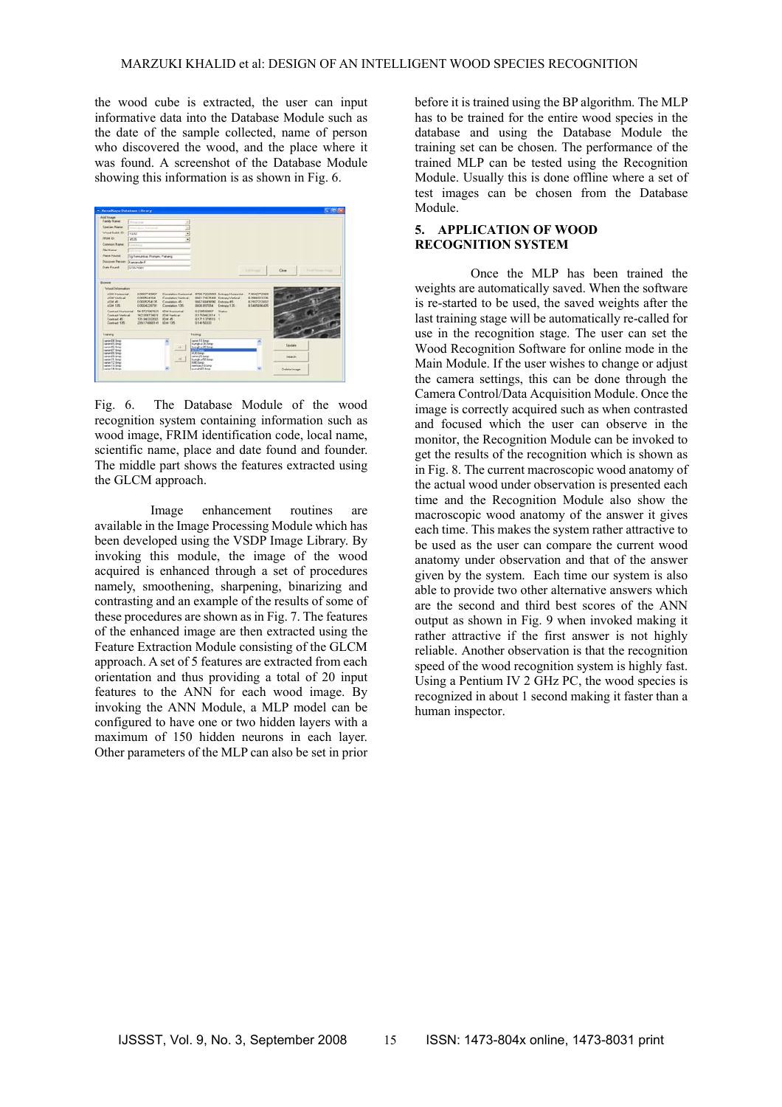the wood cube is extracted, the user can input informative data into the Database Module such as the date of the sample collected, name of person who discovered the wood, and the place where it was found. A screenshot of the Database Module showing this information is as shown in Fig. 6.



Fig. 6. The Database Module of the wood recognition system containing information such as wood image, FRIM identification code, local name, scientific name, place and date found and founder. The middle part shows the features extracted using the GLCM approach.

Image enhancement routines are available in the Image Processing Module which has been developed using the VSDP Image Library. By invoking this module, the image of the wood acquired is enhanced through a set of procedures namely, smoothening, sharpening, binarizing and contrasting and an example of the results of some of these procedures are shown as in Fig. 7. The features of the enhanced image are then extracted using the Feature Extraction Module consisting of the GLCM approach. A set of 5 features are extracted from each orientation and thus providing a total of 20 input features to the ANN for each wood image. By invoking the ANN Module, a MLP model can be configured to have one or two hidden layers with a maximum of 150 hidden neurons in each layer. Other parameters of the MLP can also be set in prior

before it is trained using the BP algorithm. The MLP has to be trained for the entire wood species in the database and using the Database Module the training set can be chosen. The performance of the trained MLP can be tested using the Recognition Module. Usually this is done offline where a set of test images can be chosen from the Database Module.

## **5. APPLICATION OF WOOD RECOGNITION SYSTEM**

Once the MLP has been trained the weights are automatically saved. When the software is re-started to be used, the saved weights after the last training stage will be automatically re-called for use in the recognition stage. The user can set the Wood Recognition Software for online mode in the Main Module. If the user wishes to change or adjust the camera settings, this can be done through the Camera Control/Data Acquisition Module. Once the image is correctly acquired such as when contrasted and focused which the user can observe in the monitor, the Recognition Module can be invoked to get the results of the recognition which is shown as in Fig. 8. The current macroscopic wood anatomy of the actual wood under observation is presented each time and the Recognition Module also show the macroscopic wood anatomy of the answer it gives each time. This makes the system rather attractive to be used as the user can compare the current wood anatomy under observation and that of the answer given by the system. Each time our system is also able to provide two other alternative answers which are the second and third best scores of the ANN output as shown in Fig. 9 when invoked making it rather attractive if the first answer is not highly reliable. Another observation is that the recognition speed of the wood recognition system is highly fast. Using a Pentium IV 2 GHz PC, the wood species is recognized in about 1 second making it faster than a human inspector.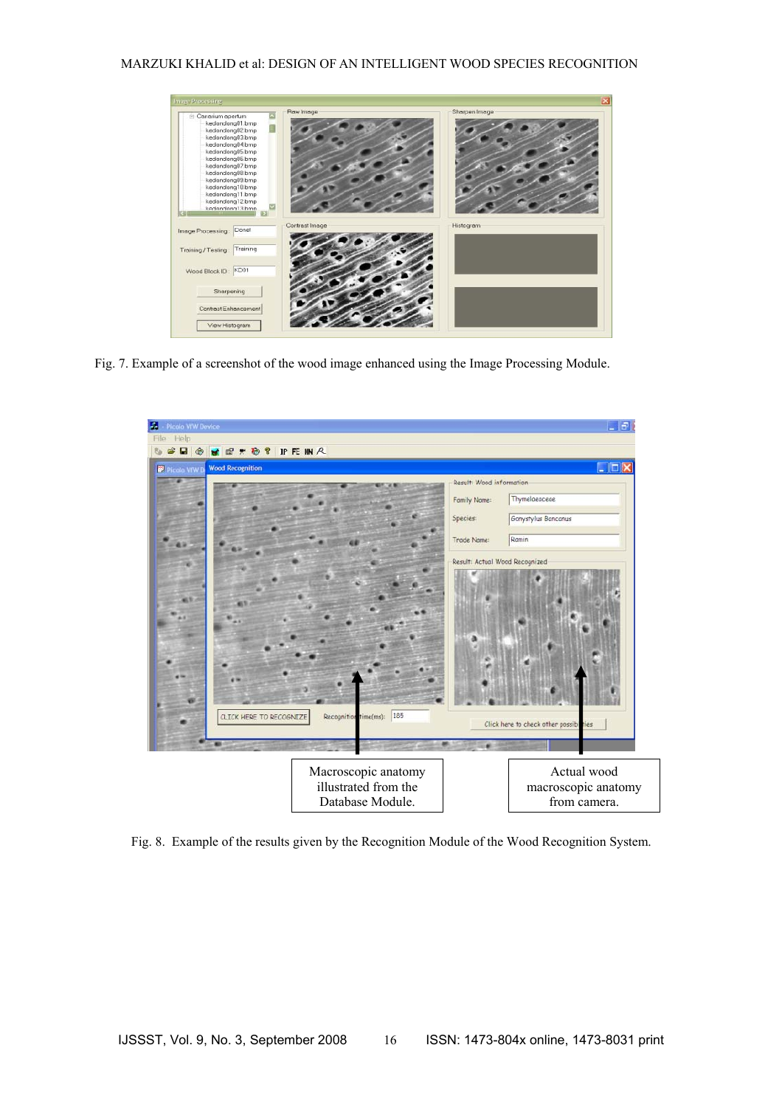## MARZUKI KHALID et al: DESIGN OF AN INTELLIGENT WOOD SPECIES RECOGNITION



Fig. 7. Example of a screenshot of the wood image enhanced using the Image Processing Module.



Fig. 8. Example of the results given by the Recognition Module of the Wood Recognition System.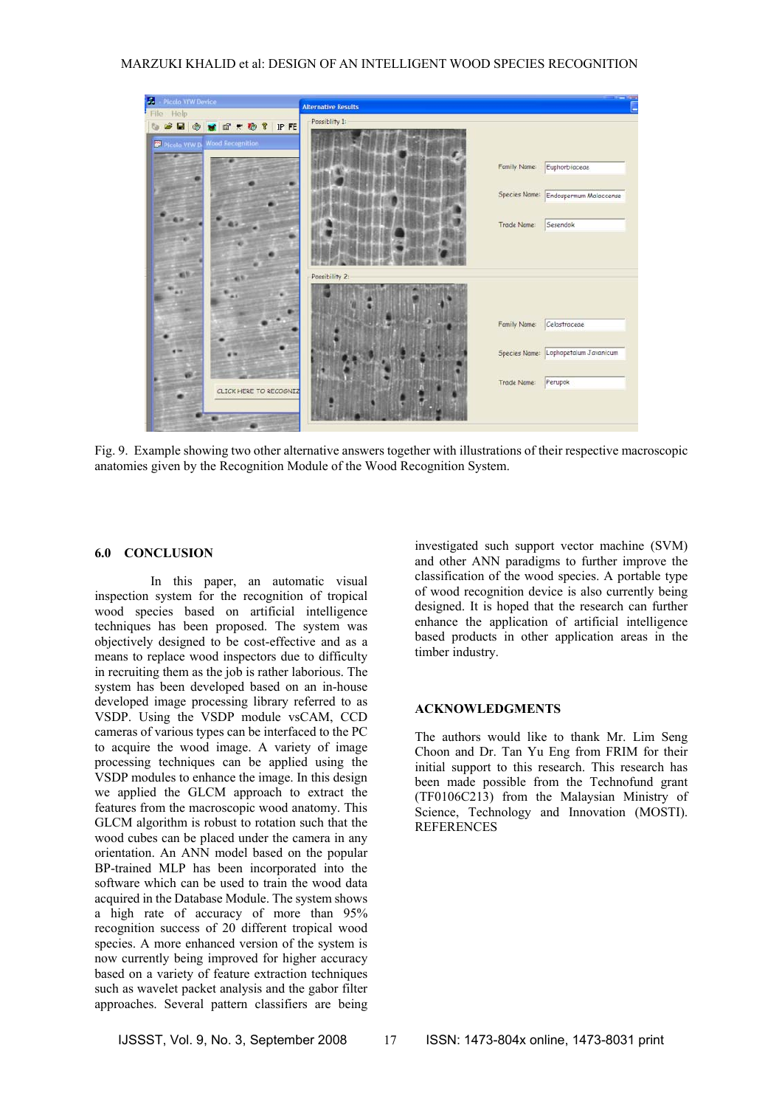## MARZUKI KHALID et al: DESIGN OF AN INTELLIGENT WOOD SPECIES RECOGNITION



Fig. 9. Example showing two other alternative answers together with illustrations of their respective macroscopic anatomies given by the Recognition Module of the Wood Recognition System.

#### **6.0 CONCLUSION**

In this paper, an automatic visual inspection system for the recognition of tropical wood species based on artificial intelligence techniques has been proposed. The system was objectively designed to be cost-effective and as a means to replace wood inspectors due to difficulty in recruiting them as the job is rather laborious. The system has been developed based on an in-house developed image processing library referred to as VSDP. Using the VSDP module vsCAM, CCD cameras of various types can be interfaced to the PC to acquire the wood image. A variety of image processing techniques can be applied using the VSDP modules to enhance the image. In this design we applied the GLCM approach to extract the features from the macroscopic wood anatomy. This GLCM algorithm is robust to rotation such that the wood cubes can be placed under the camera in any orientation. An ANN model based on the popular BP-trained MLP has been incorporated into the software which can be used to train the wood data acquired in the Database Module. The system shows a high rate of accuracy of more than 95% recognition success of 20 different tropical wood species. A more enhanced version of the system is now currently being improved for higher accuracy based on a variety of feature extraction techniques such as wavelet packet analysis and the gabor filter approaches. Several pattern classifiers are being

investigated such support vector machine (SVM) and other ANN paradigms to further improve the classification of the wood species. A portable type of wood recognition device is also currently being designed. It is hoped that the research can further enhance the application of artificial intelligence based products in other application areas in the timber industry.

#### **ACKNOWLEDGMENTS**

The authors would like to thank Mr. Lim Seng Choon and Dr. Tan Yu Eng from FRIM for their initial support to this research. This research has been made possible from the Technofund grant (TF0106C213) from the Malaysian Ministry of Science, Technology and Innovation (MOSTI). **REFERENCES**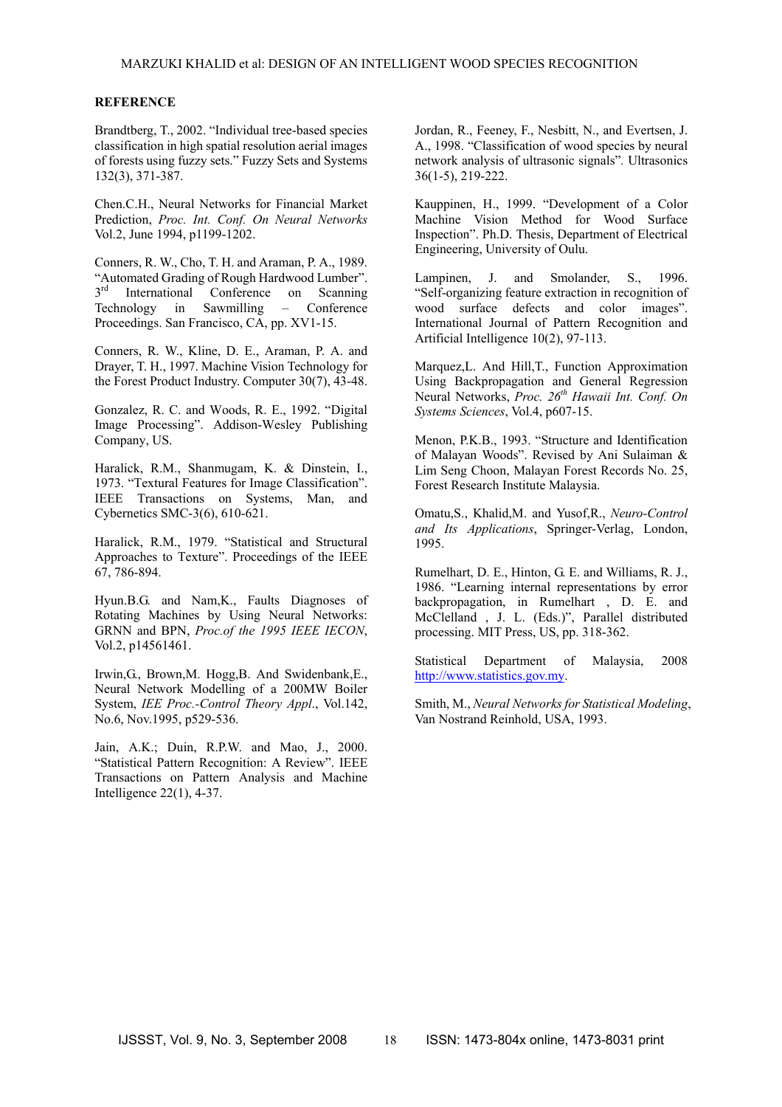#### **REFERENCE**

Brandtberg, T., 2002. "Individual tree-based species classification in high spatial resolution aerial images of forests using fuzzy sets." Fuzzy Sets and Systems 132(3), 371-387.

Chen.C.H., Neural Networks for Financial Market Prediction, *Proc. Int. Conf. On Neural Networks* Vol.2, June 1994, p1199-1202.

Conners, R. W., Cho, T. H. and Araman, P. A., 1989. "Automated Grading of Rough Hardwood Lumber". 3<sup>rd</sup> International Conference on Scanning Technology in Sawmilling – Conference Proceedings. San Francisco, CA, pp. XV1-15.

Conners, R. W., Kline, D. E., Araman, P. A. and Drayer, T. H., 1997. Machine Vision Technology for the Forest Product Industry. Computer 30(7), 43-48.

Gonzalez, R. C. and Woods, R. E., 1992. "Digital Image Processing". Addison-Wesley Publishing Company, US.

Haralick, R.M., Shanmugam, K. & Dinstein, I., 1973. "Textural Features for Image Classification". IEEE Transactions on Systems, Man, and Cybernetics SMC-3(6), 610-621.

Haralick, R.M., 1979. "Statistical and Structural Approaches to Texture". Proceedings of the IEEE 67, 786-894.

Hyun.B.G. and Nam,K., Faults Diagnoses of Rotating Machines by Using Neural Networks: GRNN and BPN, *Proc.of the 1995 IEEE IECON*, Vol.2, p14561461.

Irwin,G., Brown,M. Hogg,B. And Swidenbank,E., Neural Network Modelling of a 200MW Boiler System, *IEE Proc.-Control Theory Appl*., Vol.142, No.6, Nov.1995, p529-536.

Jain, A.K.; Duin, R.P.W. and Mao, J., 2000. "Statistical Pattern Recognition: A Review". IEEE Transactions on Pattern Analysis and Machine Intelligence 22(1), 4-37.

Jordan, R., Feeney, F., Nesbitt, N., and Evertsen, J. A., 1998. "Classification of wood species by neural network analysis of ultrasonic signals"*.* Ultrasonics 36(1-5), 219-222.

Kauppinen, H., 1999. "Development of a Color Machine Vision Method for Wood Surface Inspection". Ph.D. Thesis, Department of Electrical Engineering, University of Oulu.

Lampinen, J. and Smolander, S., 1996. "Self-organizing feature extraction in recognition of wood surface defects and color images". International Journal of Pattern Recognition and Artificial Intelligence 10(2), 97-113.

Marquez,L. And Hill,T., Function Approximation Using Backpropagation and General Regression Neural Networks, *Proc. 26th Hawaii Int. Conf. On Systems Sciences*, Vol.4, p607-15.

Menon, P.K.B., 1993. "Structure and Identification of Malayan Woods". Revised by Ani Sulaiman & Lim Seng Choon, Malayan Forest Records No. 25, Forest Research Institute Malaysia.

Omatu,S., Khalid,M. and Yusof,R., *Neuro-Control and Its Applications*, Springer-Verlag, London, 1995.

Rumelhart, D. E., Hinton, G. E. and Williams, R. J., 1986. "Learning internal representations by error backpropagation, in Rumelhart , D. E. and McClelland , J. L. (Eds.)", Parallel distributed processing. MIT Press, US, pp. 318-362.

Statistical Department of Malaysia, 2008 http://www.statistics.gov.my.

Smith, M., *Neural Networks for Statistical Modeling*, Van Nostrand Reinhold, USA, 1993.